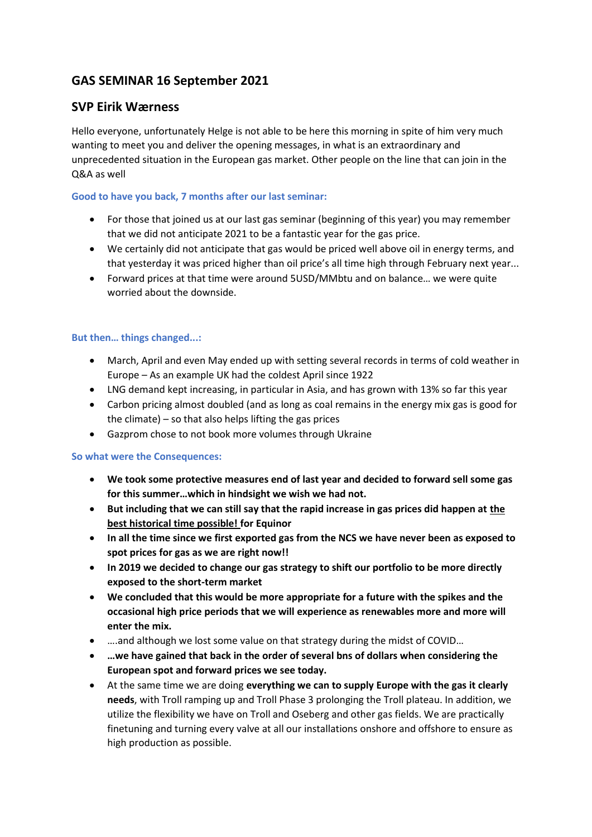# **GAS SEMINAR 16 September 2021**

# **SVP Eirik Wærness**

Hello everyone, unfortunately Helge is not able to be here this morning in spite of him very much wanting to meet you and deliver the opening messages, in what is an extraordinary and unprecedented situation in the European gas market. Other people on the line that can join in the Q&A as well

#### **Good to have you back, 7 months after our last seminar:**

- For those that joined us at our last gas seminar (beginning of this year) you may remember that we did not anticipate 2021 to be a fantastic year for the gas price.
- We certainly did not anticipate that gas would be priced well above oil in energy terms, and that yesterday it was priced higher than oil price's all time high through February next year...
- Forward prices at that time were around 5USD/MMbtu and on balance… we were quite worried about the downside.

#### **But then… things changed...:**

- March, April and even May ended up with setting several records in terms of cold weather in Europe – As an example UK had the coldest April since 1922
- LNG demand kept increasing, in particular in Asia, and has grown with 13% so far this year
- Carbon pricing almost doubled (and as long as coal remains in the energy mix gas is good for the climate) – so that also helps lifting the gas prices
- Gazprom chose to not book more volumes through Ukraine

#### **So what were the Consequences:**

- **We took some protective measures end of last year and decided to forward sell some gas for this summer…which in hindsight we wish we had not.**
- **But including that we can still say that the rapid increase in gas prices did happen at the best historical time possible! for Equinor**
- **In all the time since we first exported gas from the NCS we have never been as exposed to spot prices for gas as we are right now!!**
- **In 2019 we decided to change our gas strategy to shift our portfolio to be more directly exposed to the short-term market**
- **We concluded that this would be more appropriate for a future with the spikes and the occasional high price periods that we will experience as renewables more and more will enter the mix.**
- ....and although we lost some value on that strategy during the midst of COVID...
- **…we have gained that back in the order of several bns of dollars when considering the European spot and forward prices we see today.**
- At the same time we are doing **everything we can to supply Europe with the gas it clearly needs**, with Troll ramping up and Troll Phase 3 prolonging the Troll plateau. In addition, we utilize the flexibility we have on Troll and Oseberg and other gas fields. We are practically finetuning and turning every valve at all our installations onshore and offshore to ensure as high production as possible.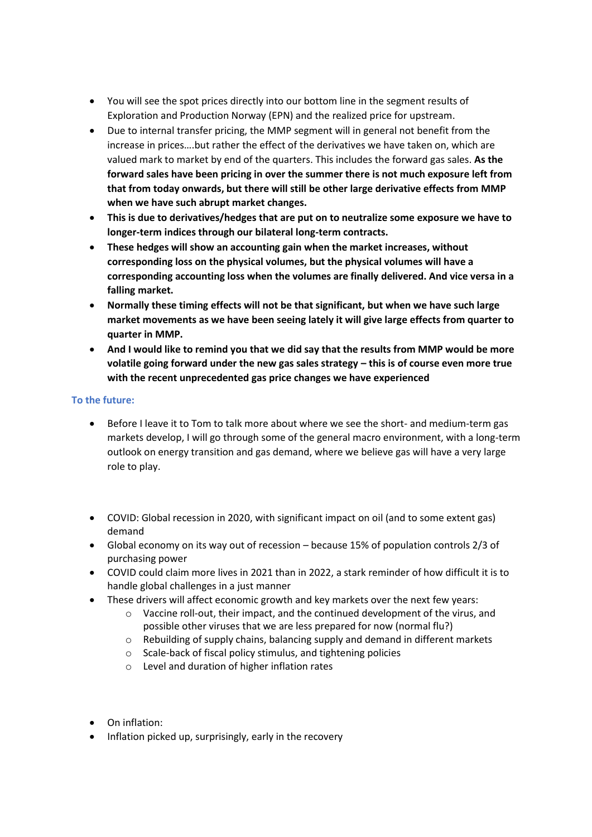- You will see the spot prices directly into our bottom line in the segment results of Exploration and Production Norway (EPN) and the realized price for upstream.
- Due to internal transfer pricing, the MMP segment will in general not benefit from the increase in prices….but rather the effect of the derivatives we have taken on, which are valued mark to market by end of the quarters. This includes the forward gas sales. **As the forward sales have been pricing in over the summer there is not much exposure left from that from today onwards, but there will still be other large derivative effects from MMP when we have such abrupt market changes.**
- **This is due to derivatives/hedges that are put on to neutralize some exposure we have to longer-term indices through our bilateral long-term contracts.**
- **These hedges will show an accounting gain when the market increases, without corresponding loss on the physical volumes, but the physical volumes will have a corresponding accounting loss when the volumes are finally delivered. And vice versa in a falling market.**
- **Normally these timing effects will not be that significant, but when we have such large market movements as we have been seeing lately it will give large effects from quarter to quarter in MMP.**
- **And I would like to remind you that we did say that the results from MMP would be more volatile going forward under the new gas sales strategy – this is of course even more true with the recent unprecedented gas price changes we have experienced**

#### **To the future:**

- Before I leave it to Tom to talk more about where we see the short- and medium-term gas markets develop, I will go through some of the general macro environment, with a long-term outlook on energy transition and gas demand, where we believe gas will have a very large role to play.
- COVID: Global recession in 2020, with significant impact on oil (and to some extent gas) demand
- Global economy on its way out of recession because 15% of population controls 2/3 of purchasing power
- COVID could claim more lives in 2021 than in 2022, a stark reminder of how difficult it is to handle global challenges in a just manner
- These drivers will affect economic growth and key markets over the next few years:
	- o Vaccine roll-out, their impact, and the continued development of the virus, and possible other viruses that we are less prepared for now (normal flu?)
	- $\circ$  Rebuilding of supply chains, balancing supply and demand in different markets
	- o Scale-back of fiscal policy stimulus, and tightening policies
	- o Level and duration of higher inflation rates
- On inflation:
- Inflation picked up, surprisingly, early in the recovery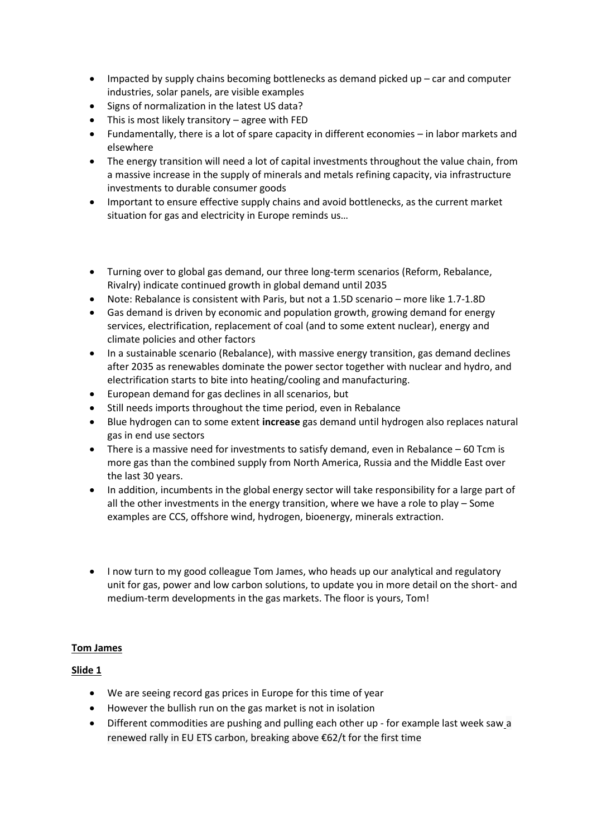- Impacted by supply chains becoming bottlenecks as demand picked up car and computer industries, solar panels, are visible examples
- Signs of normalization in the latest US data?
- This is most likely transitory agree with FED
- Fundamentally, there is a lot of spare capacity in different economies in labor markets and elsewhere
- The energy transition will need a lot of capital investments throughout the value chain, from a massive increase in the supply of minerals and metals refining capacity, via infrastructure investments to durable consumer goods
- Important to ensure effective supply chains and avoid bottlenecks, as the current market situation for gas and electricity in Europe reminds us…
- Turning over to global gas demand, our three long-term scenarios (Reform, Rebalance, Rivalry) indicate continued growth in global demand until 2035
- Note: Rebalance is consistent with Paris, but not a 1.5D scenario more like 1.7-1.8D
- Gas demand is driven by economic and population growth, growing demand for energy services, electrification, replacement of coal (and to some extent nuclear), energy and climate policies and other factors
- In a sustainable scenario (Rebalance), with massive energy transition, gas demand declines after 2035 as renewables dominate the power sector together with nuclear and hydro, and electrification starts to bite into heating/cooling and manufacturing.
- European demand for gas declines in all scenarios, but
- Still needs imports throughout the time period, even in Rebalance
- Blue hydrogen can to some extent **increase** gas demand until hydrogen also replaces natural gas in end use sectors
- There is a massive need for investments to satisfy demand, even in Rebalance 60 Tcm is more gas than the combined supply from North America, Russia and the Middle East over the last 30 years.
- In addition, incumbents in the global energy sector will take responsibility for a large part of all the other investments in the energy transition, where we have a role to play – Some examples are CCS, offshore wind, hydrogen, bioenergy, minerals extraction.
- I now turn to my good colleague Tom James, who heads up our analytical and regulatory unit for gas, power and low carbon solutions, to update you in more detail on the short- and medium-term developments in the gas markets. The floor is yours, Tom!

## **Tom James**

## **Slide 1**

- We are seeing record gas prices in Europe for this time of year
- However the bullish run on the gas market is not in isolation
- Different commodities are pushing and pulling each other up for example last week saw a renewed rally in EU ETS carbon, breaking above €62/t for the first time